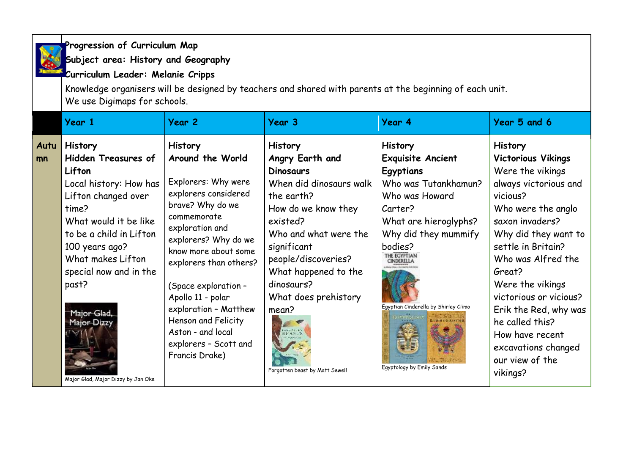**Progression of Curriculum Map Subject area: History and Geography**

**Curriculum Leader: Melanie Cripps**

Knowledge organisers will be designed by teachers and shared with parents at the beginning of each unit. We use Digimaps for schools.

|            | Year 1                                                                                                                                                                                                                                                                                                             | Year 2                                                                                                                                                                                                                                                                                                                                                                         | Year 3                                                                                                                                                                                                                                                                                                                          | Year 4                                                                                                                                                                                                                                                               | Year 5 and 6                                                                                                                                                                                                                                                                                                                                                                                   |
|------------|--------------------------------------------------------------------------------------------------------------------------------------------------------------------------------------------------------------------------------------------------------------------------------------------------------------------|--------------------------------------------------------------------------------------------------------------------------------------------------------------------------------------------------------------------------------------------------------------------------------------------------------------------------------------------------------------------------------|---------------------------------------------------------------------------------------------------------------------------------------------------------------------------------------------------------------------------------------------------------------------------------------------------------------------------------|----------------------------------------------------------------------------------------------------------------------------------------------------------------------------------------------------------------------------------------------------------------------|------------------------------------------------------------------------------------------------------------------------------------------------------------------------------------------------------------------------------------------------------------------------------------------------------------------------------------------------------------------------------------------------|
| Autu<br>mn | <b>History</b><br><b>Hidden Treasures of</b><br>Lifton<br>Local history: How has<br>Lifton changed over<br>time?<br>What would it be like<br>to be a child in Lifton<br>100 years ago?<br>What makes Lifton<br>special now and in the<br>past?<br>Major-Glad,<br>Major-Dizzy<br>Major Glad, Major Dizzy by Jan Oke | <b>History</b><br>Around the World<br>Explorers: Why were<br>explorers considered<br>brave? Why do we<br>commemorate<br>exploration and<br>explorers? Why do we<br>know more about some<br>explorers than others?<br>(Space exploration -<br>Apollo 11 - polar<br>exploration - Matthew<br>Henson and Felicity<br>Aston - and local<br>explorers - Scott and<br>Francis Drake) | <b>History</b><br>Angry Earth and<br><b>Dinosaurs</b><br>When did dinosaurs walk<br>the earth?<br>How do we know they<br>existed?<br>Who and what were the<br>significant<br>people/discoveries?<br>What happened to the<br>dinosaurs?<br>What does prehistory<br>mean?<br>rokeniae<br>BFASTS<br>Forgotten beast by Matt Sewell | <b>History</b><br>Exquisite Ancient<br>Egyptians<br>Who was Tutankhamun?<br>Who was Howard<br>Carter?<br>What are hieroglyphs?<br>Why did they mummify<br>bodies?<br>THE EGYPTIAN<br>CINDERELLA<br>Egyptian Cinderella by Shirley Climo<br>Egyptology by Emily Sands | <b>History</b><br><b>Victorious Vikings</b><br>Were the vikings<br>always victorious and<br>vicious?<br>Who were the anglo<br>saxon invaders?<br>Why did they want to<br>settle in Britain?<br>Who was Alfred the<br>Great?<br>Were the vikings<br>victorious or vicious?<br>Erik the Red, why was<br>he called this?<br>How have recent<br>excavations changed<br>our view of the<br>vikings? |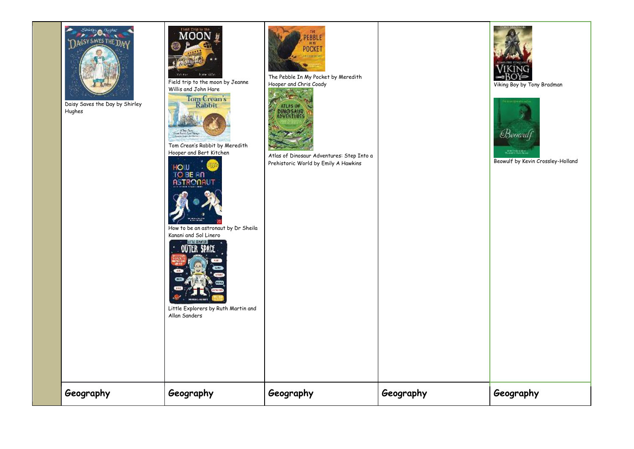

Daisy Saves the Day by Shirley Hughes



Field trip to the moon by Jeanne

Willis and John Hare<br>Tom Cream's<br>Rabbit  $\frac{1}{\sqrt{2\pi}\sqrt{2\pi}}\sum_{n=1}^{\infty}\frac{1}{\sqrt{2\pi}}\sum_{n=1}^{\infty}\frac{1}{\sqrt{2\pi}}\sum_{n=1}^{\infty}\frac{1}{\sqrt{2\pi}}\sum_{n=1}^{\infty}\frac{1}{\sqrt{2\pi}}\sum_{n=1}^{\infty}\frac{1}{\sqrt{2\pi}}\sum_{n=1}^{\infty}\frac{1}{\sqrt{2\pi}}\sum_{n=1}^{\infty}\frac{1}{\sqrt{2\pi}}\sum_{n=1}^{\infty}\frac{1}{\sqrt{2\pi}}\sum_{n=1}^{\infty}\frac{1}{\sqrt$ 

Tom Crean's Rabbit by Meredith Hooper and Bert Kitchen





How to be an astronaut by Dr Sheila



Little Explorers by Ruth Martin and





The Pebble In My Pocket by Meredith Hooper and Chris Coady



Atlas of Dinosaur Adventures: Step Into a Prehistoric World by Emily A Hawkins

**Geography Geography Geography Geography Geography**



Viking Boy by Tony Bradman



| enter e maior y a<br>Ambat de China<br>Beowulf by Kevin Crossley-Holland |  |
|--------------------------------------------------------------------------|--|
|                                                                          |  |
|                                                                          |  |
|                                                                          |  |
|                                                                          |  |
|                                                                          |  |
|                                                                          |  |
|                                                                          |  |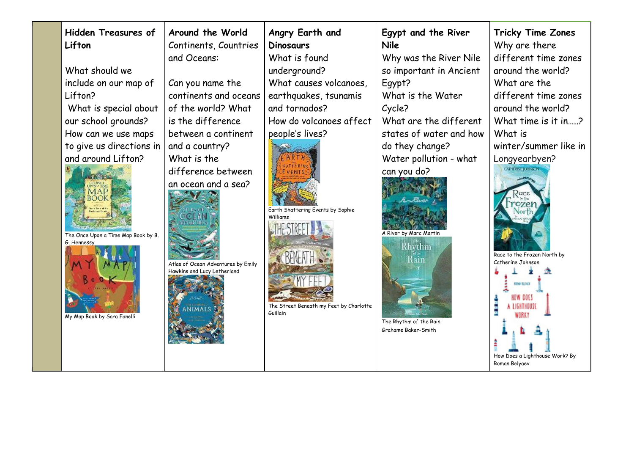| <b>Hidden Treasures of</b><br>Lifton<br>What should we<br>include on our map of<br>Lifton?<br>What is special about<br>our school grounds?<br>How can we use maps<br>to give us directions in<br>and around Lifton?<br>UPON / TOOL<br>MAP<br>BOOK<br>The Once Upon a Time Map Book by B.<br>G. Hennessy<br>My Map Book by Sara Fanelli | Around the World<br>Continents, Countries<br>and Oceans:<br>Can you name the<br>continents and oceans<br>of the world? What<br>is the difference<br>between a continent<br>and a country?<br>What is the<br>difference between<br>an ocean and a sea?<br>Atlas of Ocean Adventures by Emily<br>Hawkins and Lucy Letherland<br><b>NIMALS</b> | Angry Earth and<br><b>Dinosaurs</b><br>What is found<br>underground?<br>What causes volcanoes,<br>earthquakes, tsunamis<br>and tornados?<br>How do volcanoes affect<br>people's lives?<br>Earth Shattering Events by Sophie<br>Williams<br>The Street Beneath my Feet by Charlotte<br>Guillain | Egypt and the River<br><b>Nile</b><br>Why was the River Nile<br>so important in Ancient<br>Egypt?<br>What is the Water<br>Cycle?<br>What are the different<br>states of water and how<br>do they change?<br>Water pollution - what<br>can you do?<br>A River by Marc Martin<br>Rhythm<br>Rain<br>The Rhythm of the Rain<br>Grahame Baker-Smith | <b>Tricky Time Zones</b><br>Why are there<br>different time zones<br>around the world?<br>What are the<br>different time zones<br>around the world?<br>What time is it in?<br>What is<br>winter/summer like in<br>Longyearbyen?<br><b>CATHERINE KOHNACO</b><br>Race to the Frozen North by<br>Catherine Johnson<br><b>KING BUMIT</b><br>HOW OOES<br>A LIGHTHOUSI<br>How Does a Lighthouse Work? By<br>Roman Belyaev |
|----------------------------------------------------------------------------------------------------------------------------------------------------------------------------------------------------------------------------------------------------------------------------------------------------------------------------------------|---------------------------------------------------------------------------------------------------------------------------------------------------------------------------------------------------------------------------------------------------------------------------------------------------------------------------------------------|------------------------------------------------------------------------------------------------------------------------------------------------------------------------------------------------------------------------------------------------------------------------------------------------|------------------------------------------------------------------------------------------------------------------------------------------------------------------------------------------------------------------------------------------------------------------------------------------------------------------------------------------------|---------------------------------------------------------------------------------------------------------------------------------------------------------------------------------------------------------------------------------------------------------------------------------------------------------------------------------------------------------------------------------------------------------------------|
|----------------------------------------------------------------------------------------------------------------------------------------------------------------------------------------------------------------------------------------------------------------------------------------------------------------------------------------|---------------------------------------------------------------------------------------------------------------------------------------------------------------------------------------------------------------------------------------------------------------------------------------------------------------------------------------------|------------------------------------------------------------------------------------------------------------------------------------------------------------------------------------------------------------------------------------------------------------------------------------------------|------------------------------------------------------------------------------------------------------------------------------------------------------------------------------------------------------------------------------------------------------------------------------------------------------------------------------------------------|---------------------------------------------------------------------------------------------------------------------------------------------------------------------------------------------------------------------------------------------------------------------------------------------------------------------------------------------------------------------------------------------------------------------|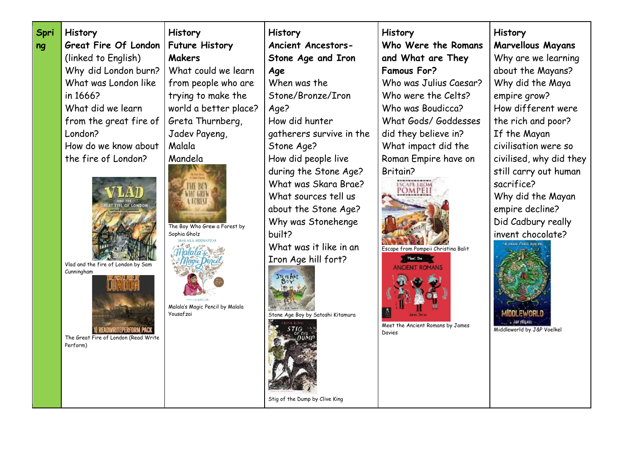| <b>Marvellous Mayans</b><br>Great Fire Of London<br><b>Future History</b><br>Who Were the Romans<br><b>Ancient Ancestors-</b><br>ng<br><b>Makers</b><br>(linked to English)<br>Stone Age and Iron<br>and What are They<br>What could we learn<br>Why did London burn?<br><b>Famous For?</b><br>Age<br>When was the<br>What was London like<br>from people who are<br>Who was Julius Caesar?<br>Stone/Bronze/Iron<br>in 1666?<br>trying to make the<br>Who were the Celts?<br>What did we learn<br>world a better place?<br>Who was Boudicca?<br>Age?<br>Greta Thurnberg,<br>How did hunter<br>What Gods/ Goddesses<br>from the great fire of<br>London?<br>Jadev Payeng,<br>gatherers survive in the<br>did they believe in?<br>How do we know about<br>Malala<br>What impact did the<br>Stone Age?<br>the fire of London?<br>Mandela<br>How did people live<br>Roman Empire have on<br>during the Stone Age?<br>Britain?<br>What was Skara Brae?<br><b>ESCAPE EROM</b><br>THE BO<br><b>POMPEI</b><br><b>HO GREV</b><br>What sources tell us<br>A FOREST<br>AT FIRE OF LONDON<br>about the Stone Age?<br>Why was Stonehenge<br>The Boy Who Grew a Forest by<br>built?<br>Sophia Gholz<br>What was it like in an<br>Escape from Pompeii Christina Balit<br>Iron Age hill fort?<br>Vlad and the fire of London by Sam<br><b>ANCIENT ROMANS</b><br>Cunningham<br>STOTE AGE<br>Malala's Magic Pencil by Malala<br>Yousafzai<br>Stone Age Boy by Satoshi Kitamura<br>Meet the Ancient Romans by James<br>1 READWRITEPERFORM PACK<br>Davies<br>The Great Fire of London (Read Write<br>Perform) | Why are we learning<br>about the Mayans?<br>Why did the Maya<br>empire grow?<br>How different were<br>the rich and poor?<br>If the Mayan<br>civilisation were so<br>civilised, why did they<br>still carry out human<br>sacrifice?<br>Why did the Mayan<br>empire decline?<br>Did Cadbury really<br>invent chocolate?<br><b>LUGGIE CITACE SECK 38</b><br>Middleworld by J&P Voelkel |
|-------------------------------------------------------------------------------------------------------------------------------------------------------------------------------------------------------------------------------------------------------------------------------------------------------------------------------------------------------------------------------------------------------------------------------------------------------------------------------------------------------------------------------------------------------------------------------------------------------------------------------------------------------------------------------------------------------------------------------------------------------------------------------------------------------------------------------------------------------------------------------------------------------------------------------------------------------------------------------------------------------------------------------------------------------------------------------------------------------------------------------------------------------------------------------------------------------------------------------------------------------------------------------------------------------------------------------------------------------------------------------------------------------------------------------------------------------------------------------------------------------------------------------------------------------------------------------------------|-------------------------------------------------------------------------------------------------------------------------------------------------------------------------------------------------------------------------------------------------------------------------------------------------------------------------------------------------------------------------------------|
|-------------------------------------------------------------------------------------------------------------------------------------------------------------------------------------------------------------------------------------------------------------------------------------------------------------------------------------------------------------------------------------------------------------------------------------------------------------------------------------------------------------------------------------------------------------------------------------------------------------------------------------------------------------------------------------------------------------------------------------------------------------------------------------------------------------------------------------------------------------------------------------------------------------------------------------------------------------------------------------------------------------------------------------------------------------------------------------------------------------------------------------------------------------------------------------------------------------------------------------------------------------------------------------------------------------------------------------------------------------------------------------------------------------------------------------------------------------------------------------------------------------------------------------------------------------------------------------------|-------------------------------------------------------------------------------------------------------------------------------------------------------------------------------------------------------------------------------------------------------------------------------------------------------------------------------------------------------------------------------------|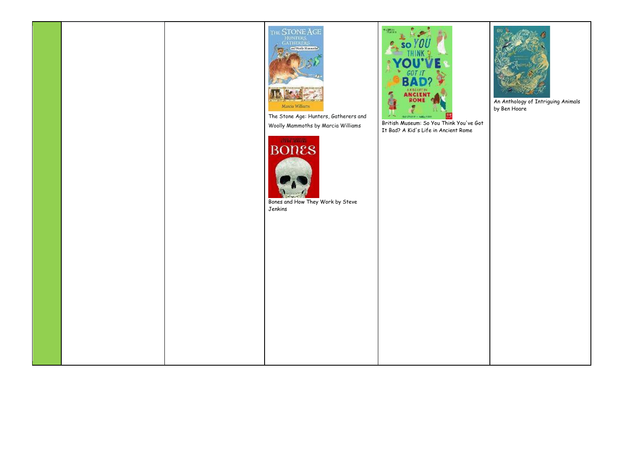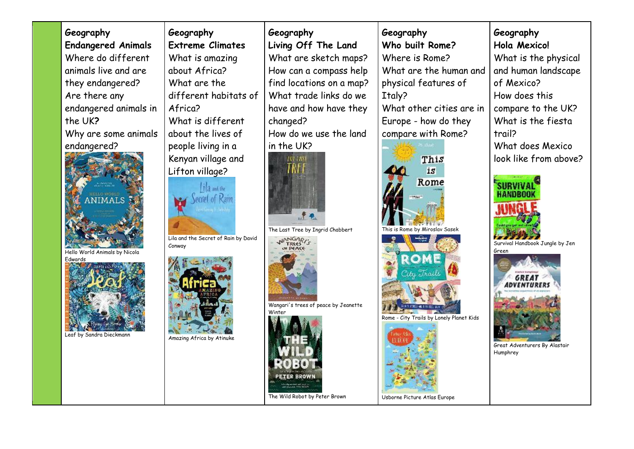| Geography                                | Geography                            | Geography                                      | Geography                                | Geography                                 |
|------------------------------------------|--------------------------------------|------------------------------------------------|------------------------------------------|-------------------------------------------|
| <b>Endangered Animals</b>                | <b>Extreme Climates</b>              | Living Off The Land                            | Who built Rome?                          | Hola Mexico!                              |
| Where do different                       | What is amazing                      | What are sketch maps?                          | Where is Rome?                           | What is the physical                      |
| animals live and are                     | about Africa?                        | How can a compass help                         | What are the human and                   | and human landscape                       |
| they endangered?                         | What are the                         | find locations on a map?                       | physical features of                     | of Mexico?                                |
| Are there any                            | different habitats of                | What trade links do we                         | Italy?                                   | How does this                             |
| endangered animals in                    | Africa?                              | have and how have they                         | What other cities are in                 | compare to the UK?                        |
| the UK?                                  | What is different                    | changed?                                       | Europe - how do they                     | What is the fiesta                        |
| Why are some animals                     | about the lives of                   | How do we use the land                         | compare with Rome?                       | trail?                                    |
| endangered?                              | people living in a                   | in the UK?                                     |                                          | What does Mexico                          |
|                                          | Kenyan village and                   | THE TASE                                       | This                                     | look like from above?                     |
|                                          | Lifton village?                      |                                                | is                                       |                                           |
| ANIMALS                                  | lila and the<br>ecret of Rain        |                                                | Rome                                     | нампил                                    |
|                                          |                                      | 建电                                             |                                          |                                           |
|                                          | Lila and the Secret of Rain by David | The Last Tree by Ingrid Chabbert               | This is Rome by Miroslav Sasek           |                                           |
|                                          | Conway                               | NANGARI'S                                      |                                          | Survival Handbook Jungle by Jen<br>Green  |
| Hello World Animals by Nicola<br>Edwards |                                      |                                                | ROME                                     | <b>GREAT</b><br><i><b>ADVENTURERS</b></i> |
|                                          |                                      | Wangari's trees of peace by Jeanette<br>Winter |                                          |                                           |
| Leaf by Sandra Dieckmann                 | Amazing Africa by Atinuke            |                                                | Rome - City Trails by Lonely Planet Kids | Great Adventurers By Alastair<br>Humphrey |
|                                          |                                      | PETER BROWN<br>The Wild Robot by Peter Brown   | Usborne Picture Atlas Europe             |                                           |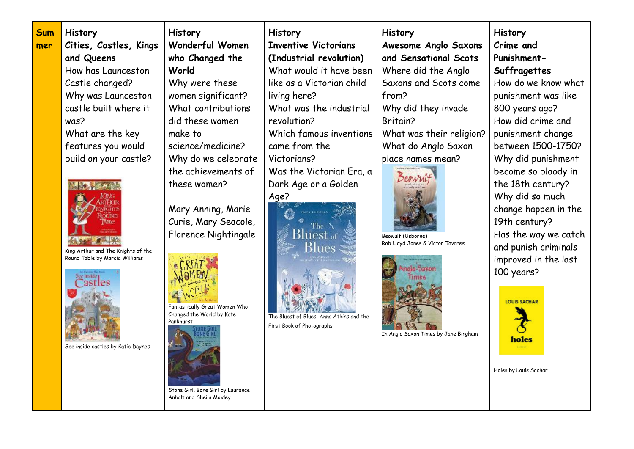| <b>Sum</b> | History                            | <b>History</b>                                             | <b>History</b>                           | <b>History</b>                       | <b>History</b>        |
|------------|------------------------------------|------------------------------------------------------------|------------------------------------------|--------------------------------------|-----------------------|
| mer        | Cities, Castles, Kings             | Wonderful Women                                            | <b>Inventive Victorians</b>              | <b>Awesome Anglo Saxons</b>          | Crime and             |
|            | and Queens                         | who Changed the                                            | (Industrial revolution)                  | and Sensational Scots                | Punishment-           |
|            | How has Launceston                 | World                                                      | What would it have been                  | Where did the Anglo                  | Suffragettes          |
|            | Castle changed?                    | Why were these                                             | like as a Victorian child                | Saxons and Scots come                | How do we know what   |
|            | Why was Launceston                 | women significant?                                         | living here?                             | from?                                | punishment was like   |
|            | castle built where it              | What contributions                                         | What was the industrial                  | Why did they invade                  | 800 years ago?        |
|            | was?                               | did these women                                            | revolution?                              | Britain?                             | How did crime and     |
|            | What are the key                   | make to                                                    | Which famous inventions                  | What was their religion?             | punishment change     |
|            | features you would                 | science/medicine?                                          | came from the                            | What do Anglo Saxon                  | between 1500-1750?    |
|            | build on your castle?              | Why do we celebrate                                        | Victorians?                              | place names mean?                    | Why did punishment    |
|            |                                    | the achievements of                                        | Was the Victorian Era, a                 |                                      | become so bloody in   |
|            |                                    | these women?                                               | Dark Age or a Golden                     |                                      | the 18th century?     |
|            |                                    |                                                            | Age?                                     |                                      | Why did so much       |
|            |                                    | Mary Anning, Marie                                         |                                          |                                      | change happen in the  |
|            |                                    | Curie, Mary Seacole,                                       | 'The                                     |                                      | 19th century?         |
|            |                                    | Florence Nightingale                                       | Bluest a                                 | Beowulf (Usborne)                    | Has the way we catch  |
|            | King Arthur and The Knights of the |                                                            | Blues                                    | Rob Lloyd Jones & Victor Tavares     | and punish criminals  |
|            | Round Table by Marcia Williams     |                                                            |                                          |                                      | improved in the last  |
|            |                                    |                                                            |                                          |                                      | 100 years?            |
|            | <b>astres</b>                      |                                                            |                                          |                                      |                       |
|            |                                    |                                                            |                                          |                                      | <b>LOUIS SACHAR</b>   |
|            |                                    | Fantastically Great Women Who<br>Changed the World by Kate | The Bluest of Blues: Anna Atkins and the |                                      |                       |
|            |                                    | Pankhurst                                                  | First Book of Photographs                |                                      |                       |
|            |                                    |                                                            |                                          | In Anglo Saxon Times by Jane Bingham | holes                 |
|            | See inside castles by Katie Daynes |                                                            |                                          |                                      |                       |
|            |                                    |                                                            |                                          |                                      |                       |
|            |                                    |                                                            |                                          |                                      | Holes by Louis Sachar |
|            |                                    |                                                            |                                          |                                      |                       |

Stone Girl, Bone Girl by Laurence Anholt and Sheila Moxley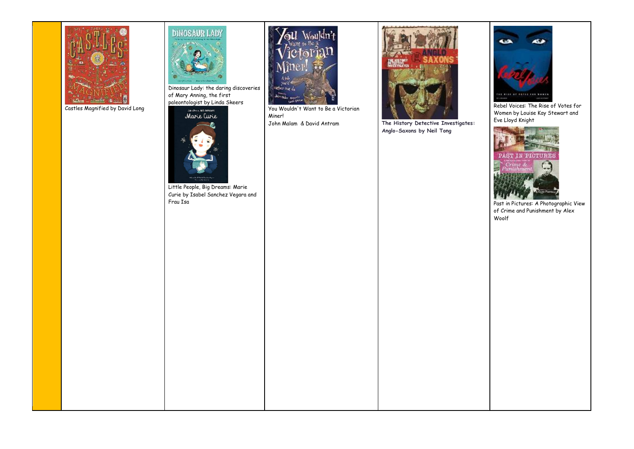

Castles Magnified by David Long



Dinosaur Lady: the daring discoveries of Mary Anning, the first paleontologist by Linda Skeers



Little People, Big Dreams: Marie Curie by Isabel Sanchez Vegara and Frau Isa



You Wouldn't Want to Be a Victorian Miner!<br>John Malam & David Antram



The History Detective Investigates: **Anglo-Saxons by Neil Tong**



[Rebel Voices: The Rise of Votes for](https://www.amazon.co.uk/Rebel-Voices-Rise-Votes-Women/dp/1526300230/ref=sr_1_1?dchild=1&keywords=Rebel+Voices%3A+The+Rise+Of+Votes+For+Women+by+Louise+Kay+Stewart&qid=1624461061&sr=8-1)  [Women](https://www.amazon.co.uk/Rebel-Voices-Rise-Votes-Women/dp/1526300230/ref=sr_1_1?dchild=1&keywords=Rebel+Voices%3A+The+Rise+Of+Votes+For+Women+by+Louise+Kay+Stewart&qid=1624461061&sr=8-1) by Louise Kay Stewart and Eve Lloyd Knight



Past in Pictures: A Photographic View of Crime and Punishment by Alex Woolf